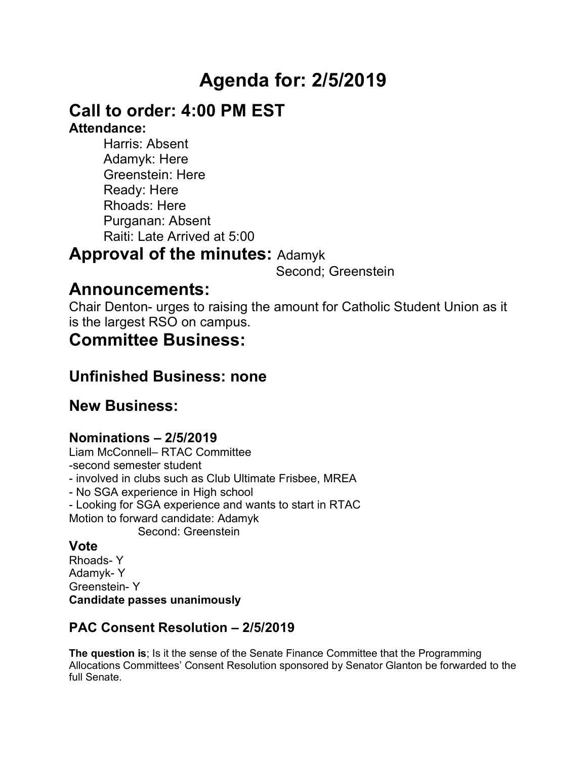# **Agenda for: 2/5/2019**

## **Call to order: 4:00 PM EST**

### **Attendance:**

Harris: Absent Adamyk: Here Greenstein: Here Ready: Here Rhoads: Here Purganan: Absent Raiti: Late Arrived at 5:00

### **Approval of the minutes:** Adamyk

Second; Greenstein

## **Announcements:**

Chair Denton- urges to raising the amount for Catholic Student Union as it is the largest RSO on campus.

### **Committee Business:**

### **Unfinished Business: none**

### **New Business:**

### **Nominations – 2/5/2019**

Liam McConnell– RTAC Committee -second semester student - involved in clubs such as Club Ultimate Frisbee, MREA - No SGA experience in High school - Looking for SGA experience and wants to start in RTAC Motion to forward candidate: Adamyk Second: Greenstein

#### **Vote**

Rhoads- Y Adamyk- Y Greenstein- Y **Candidate passes unanimously** 

### **PAC Consent Resolution – 2/5/2019**

**The question is**; Is it the sense of the Senate Finance Committee that the Programming Allocations Committees' Consent Resolution sponsored by Senator Glanton be forwarded to the full Senate.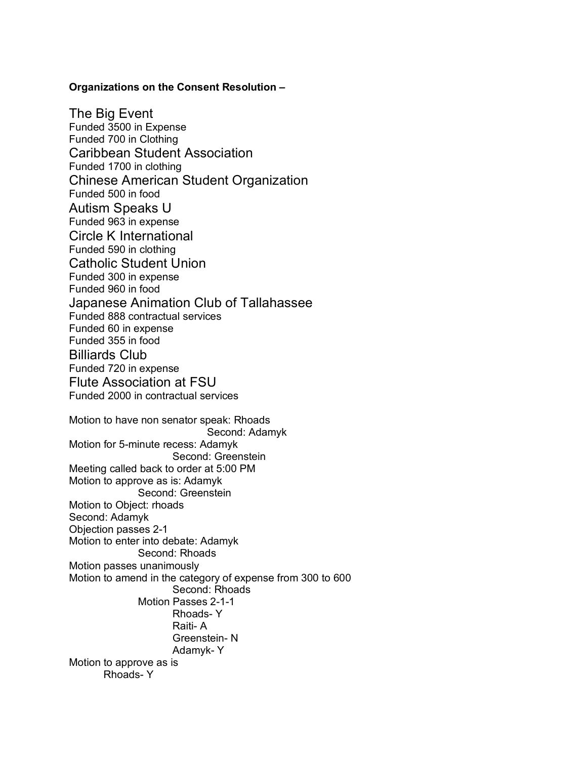#### **Organizations on the Consent Resolution –**

The Big Event Funded 3500 in Expense Funded 700 in Clothing Caribbean Student Association Funded 1700 in clothing Chinese American Student Organization Funded 500 in food Autism Speaks U Funded 963 in expense Circle K International Funded 590 in clothing Catholic Student Union Funded 300 in expense Funded 960 in food Japanese Animation Club of Tallahassee Funded 888 contractual services Funded 60 in expense Funded 355 in food Billiards Club Funded 720 in expense Flute Association at FSU Funded 2000 in contractual services Motion to have non senator speak: Rhoads Second: Adamyk Motion for 5-minute recess: Adamyk Second: Greenstein Meeting called back to order at 5:00 PM Motion to approve as is: Adamyk Second: Greenstein Motion to Object: rhoads Second: Adamyk Objection passes 2-1 Motion to enter into debate: Adamyk Second: Rhoads Motion passes unanimously Motion to amend in the category of expense from 300 to 600 Second: Rhoads Motion Passes 2-1-1 Rhoads- Y Raiti- A Greenstein- N Adamyk- Y Motion to approve as is Rhoads- Y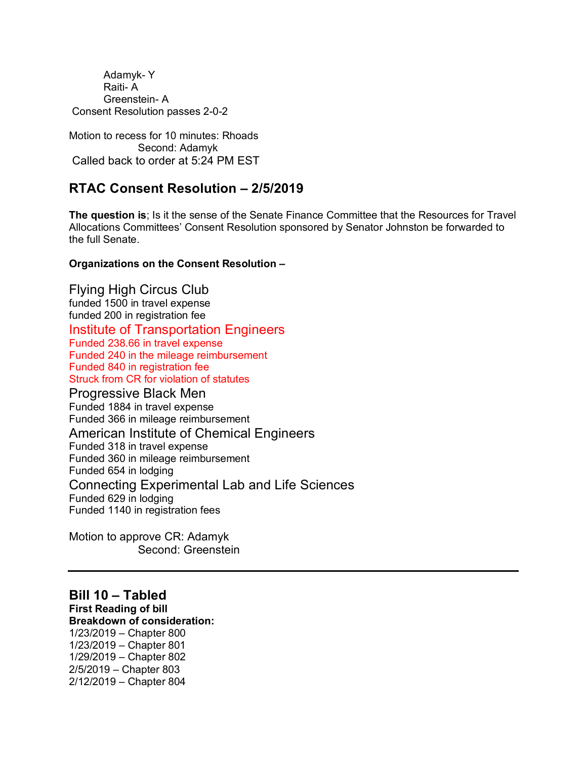Adamyk- Y Raiti- A Greenstein- A Consent Resolution passes 2-0-2

Motion to recess for 10 minutes: Rhoads Second: Adamyk Called back to order at 5:24 PM EST

#### **RTAC Consent Resolution – 2/5/2019**

**The question is**; Is it the sense of the Senate Finance Committee that the Resources for Travel Allocations Committees' Consent Resolution sponsored by Senator Johnston be forwarded to the full Senate.

#### **Organizations on the Consent Resolution –**

Flying High Circus Club funded 1500 in travel expense funded 200 in registration fee Institute of Transportation Engineers Funded 238.66 in travel expense Funded 240 in the mileage reimbursement Funded 840 in registration fee Struck from CR for violation of statutes Progressive Black Men Funded 1884 in travel expense Funded 366 in mileage reimbursement American Institute of Chemical Engineers Funded 318 in travel expense Funded 360 in mileage reimbursement Funded 654 in lodging Connecting Experimental Lab and Life Sciences Funded 629 in lodging Funded 1140 in registration fees

Motion to approve CR: Adamyk Second: Greenstein

#### **Bill 10 – Tabled First Reading of bill**

#### **Breakdown of consideration:**

1/23/2019 – Chapter 800 1/23/2019 – Chapter 801 1/29/2019 – Chapter 802 2/5/2019 – Chapter 803 2/12/2019 – Chapter 804